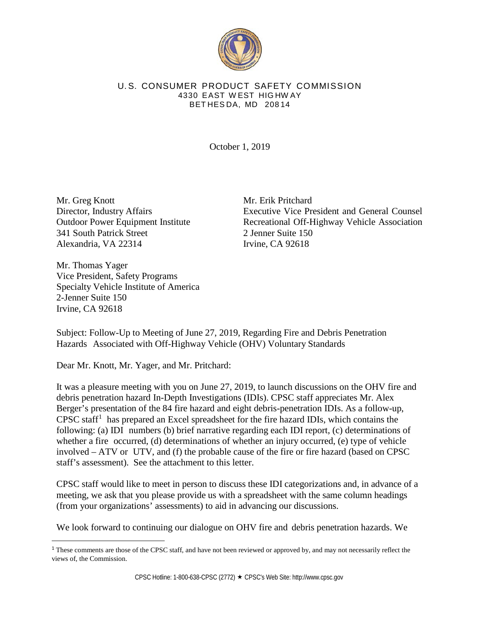

## U. S. CONSUMER PRODUCT SAFETY COMMISSION 4330 EAST W EST HIG HW AY BET HES DA, MD 208 14

October 1, 2019

Mr. Greg Knott Director, Industry Affairs Outdoor Power Equipment Institute 341 South Patrick Street Alexandria, VA 22314

Mr. Erik Pritchard Executive Vice President and General Counsel Recreational Off-Highway Vehicle Association 2 Jenner Suite 150 Irvine, CA 92618

Mr. Thomas Yager Vice President, Safety Programs Specialty Vehicle Institute of America 2-Jenner Suite 150 Irvine, CA 92618

Subject: Follow-Up to Meeting of June 27, 2019, Regarding Fire and Debris Penetration Hazards Associated with Off-Highway Vehicle (OHV) Voluntary Standards

Dear Mr. Knott, Mr. Yager, and Mr. Pritchard:

It was a pleasure meeting with you on June 27, 2019, to launch discussions on the OHV fire and debris penetration hazard In-Depth Investigations (IDIs). CPSC staff appreciates Mr. Alex Berger's presentation of the 84 fire hazard and eight debris-penetration IDIs. As a follow-up, CPSC staff<sup>[1](#page-0-0)</sup> has prepared an Excel spreadsheet for the fire hazard IDIs, which contains the following: (a) IDI numbers (b) brief narrative regarding each IDI report, (c) determinations of whether a fire occurred, (d) determinations of whether an injury occurred, (e) type of vehicle involved – ATV or UTV, and (f) the probable cause of the fire or fire hazard (based on CPSC staff's assessment). See the attachment to this letter.

CPSC staff would like to meet in person to discuss these IDI categorizations and, in advance of a meeting, we ask that you please provide us with a spreadsheet with the same column headings (from your organizations' assessments) to aid in advancing our discussions.

We look forward to continuing our dialogue on OHV fire and debris penetration hazards. We

<span id="page-0-0"></span><sup>&</sup>lt;sup>1</sup> These comments are those of the CPSC staff, and have not been reviewed or approved by, and may not necessarily reflect the views of, the Commission.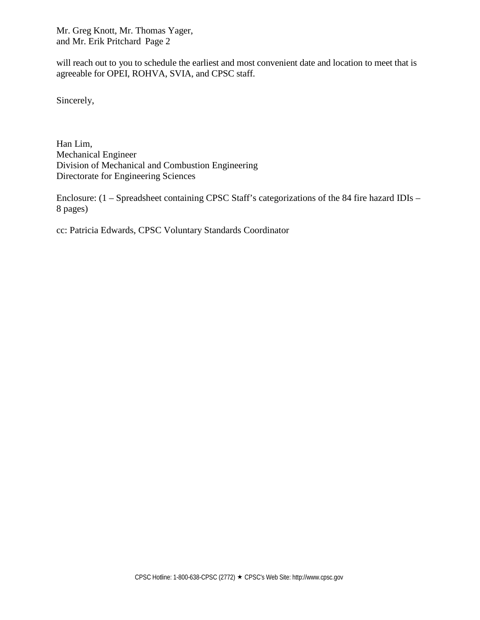Mr. Greg Knott, Mr. Thomas Yager, and Mr. Erik Pritchard Page 2

will reach out to you to schedule the earliest and most convenient date and location to meet that is agreeable for OPEI, ROHVA, SVIA, and CPSC staff.

Sincerely,

Han Lim, Mechanical Engineer Division of Mechanical and Combustion Engineering Directorate for Engineering Sciences

Enclosure: (1 – Spreadsheet containing CPSC Staff's categorizations of the 84 fire hazard IDIs – 8 pages)

cc: Patricia Edwards, CPSC Voluntary Standards Coordinator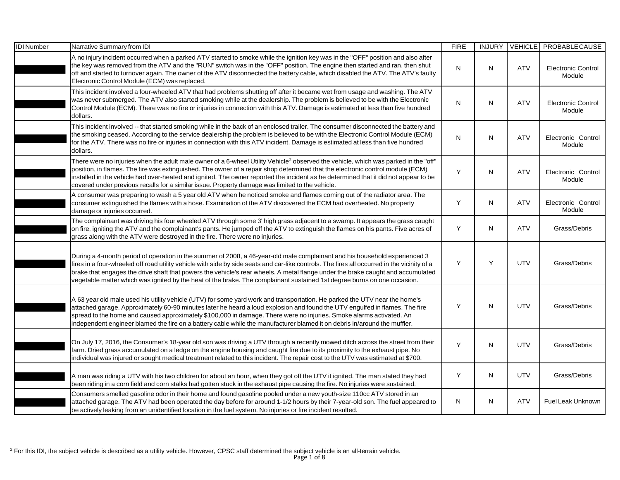<span id="page-2-0"></span>

| <b>IDI</b> Number | Narrative Summary from IDI                                                                                                                                                                                                                                                                                                                                                                                                                                                                                                               | <b>FIRE</b> | <b>INJURY</b> | <b>VEHICLE</b> | PROBABLECAUSE                       |
|-------------------|------------------------------------------------------------------------------------------------------------------------------------------------------------------------------------------------------------------------------------------------------------------------------------------------------------------------------------------------------------------------------------------------------------------------------------------------------------------------------------------------------------------------------------------|-------------|---------------|----------------|-------------------------------------|
|                   | A no injury incident occurred when a parked ATV started to smoke while the ignition key was in the "OFF" position and also after<br>the key was removed from the ATV and the "RUN" switch was in the "OFF" position. The engine then started and ran, then shut<br>off and started to turnover again. The owner of the ATV disconnected the battery cable, which disabled the ATV. The ATV's faulty<br>Electronic Control Module (ECM) was replaced.                                                                                     | N           | N             | <b>ATV</b>     | <b>Electronic Control</b><br>Module |
|                   | This incident involved a four-wheeled ATV that had problems shutting off after it became wet from usage and washing. The ATV<br>was never submerged. The ATV also started smoking while at the dealership. The problem is believed to be with the Electronic<br>Control Module (ECM). There was no fire or injuries in connection with this ATV. Damage is estimated at less than five hundred<br>dollars.                                                                                                                               | N           | N             | <b>ATV</b>     | <b>Electronic Control</b><br>Module |
|                   | This incident involved -- that started smoking while in the back of an enclosed trailer. The consumer disconnected the battery and<br>the smoking ceased. According to the service dealership the problem is believed to be with the Electronic Control Module (ECM)<br>for the ATV. There was no fire or injuries in connection with this ATV incident. Damage is estimated at less than five hundred<br>dollars.                                                                                                                       | N           | N             | <b>ATV</b>     | Electronic Control<br>Module        |
|                   | There were no injuries when the adult male owner of a 6-wheel Utility Vehicle <sup>2</sup> observed the vehicle, which was parked in the "off"<br>position, in flames. The fire was extinguished. The owner of a repair shop determined that the electronic control module (ECM)<br>installed in the vehicle had over-heated and ignited. The owner reported the incident as he determined that it did not appear to be<br>covered under previous recalls for a similar issue. Property damage was limited to the vehicle.               | Y           | N             | <b>ATV</b>     | Electronic Control<br>Module        |
|                   | A consumer was preparing to wash a 5 year old ATV when he noticed smoke and flames coming out of the radiator area. The<br>consumer extinguished the flames with a hose. Examination of the ATV discovered the ECM had overheated. No property<br>damage or injuries occurred.                                                                                                                                                                                                                                                           | Y           | N             | <b>ATV</b>     | Electronic Control<br>Module        |
|                   | The complainant was driving his four wheeled ATV through some 3' high grass adjacent to a swamp. It appears the grass caught<br>on fire, igniting the ATV and the complainant's pants. He jumped off the ATV to extinguish the flames on his pants. Five acres of<br>grass along with the ATV were destroyed in the fire. There were no injuries.                                                                                                                                                                                        | Y           | N             | <b>ATV</b>     | Grass/Debris                        |
|                   | During a 4-month period of operation in the summer of 2008, a 46-year-old male complainant and his household experienced 3<br>fires in a four-wheeled off road utility vehicle with side by side seats and car-like controls. The fires all occurred in the vicinity of a<br>brake that engages the drive shaft that powers the vehicle's rear wheels. A metal flange under the brake caught and accumulated<br>vegetable matter which was ignited by the heat of the brake. The complainant sustained 1st degree burns on one occasion. | Y           | Y             | <b>UTV</b>     | Grass/Debris                        |
|                   | A 63 year old male used his utility vehicle (UTV) for some yard work and transportation. He parked the UTV near the home's<br>attached garage. Approximately 60-90 minutes later he heard a loud explosion and found the UTV engulfed in flames. The fire<br>spread to the home and caused approximately \$100,000 in damage. There were no injuries. Smoke alarms activated. An<br>independent engineer blamed the fire on a battery cable while the manufacturer blamed it on debris in/around the muffler.                            | Υ           | N             | UTV            | Grass/Debris                        |
|                   | On July 17, 2016, the Consumer's 18-year old son was driving a UTV through a recently mowed ditch across the street from their<br>farm. Dried grass accumulated on a ledge on the engine housing and caught fire due to its proximity to the exhaust pipe. No<br>individual was injured or sought medical treatment related to this incident. The repair cost to the UTV was estimated at \$700.                                                                                                                                         | Y           | ${\sf N}$     | <b>UTV</b>     | Grass/Debris                        |
|                   | A man was riding a UTV with his two children for about an hour, when they got off the UTV it ignited. The man stated they had<br>been riding in a corn field and corn stalks had gotten stuck in the exhaust pipe causing the fire. No injuries were sustained.                                                                                                                                                                                                                                                                          | Y           | $\mathsf{N}$  | <b>UTV</b>     | Grass/Debris                        |
|                   | Consumers smelled gasoline odor in their home and found gasoline pooled under a new youth-size 110cc ATV stored in an<br>attached garage. The ATV had been operated the day before for around 1-1/2 hours by their 7-year-old son. The fuel appeared to<br>be actively leaking from an unidentified location in the fuel system. No injuries or fire incident resulted.                                                                                                                                                                  | Ν           | N             | <b>ATV</b>     | Fuel Leak Unknown                   |

 $\overline{a}$ 

 $^2$  For this IDI, the subject vehicle is described as a utility vehicle. However, CPSC staff determined the subject vehicle is an all-terrain vehicle.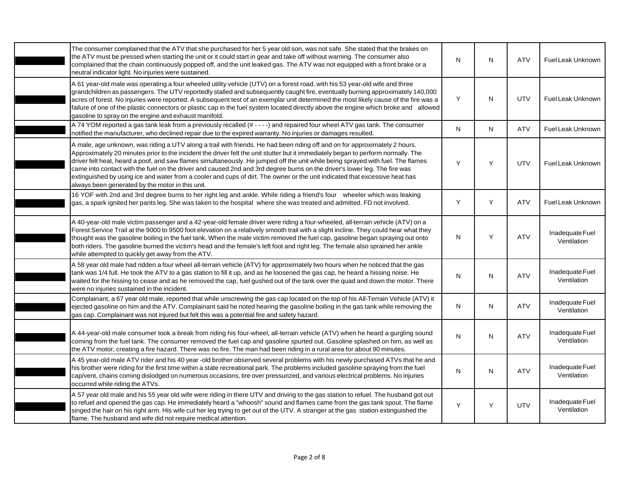| The consumer complained that the ATV that she purchased for her 5 year old son, was not safe. She stated that the brakes on<br>the ATV must be pressed when starting the unit or it could start in gear and take off without warning. The consumer also<br>complained that the chain continuously popped off, and the unit leaked gas. The ATV was not equipped with a front brake or a<br>neutral indicator light. No injuries were sustained.                                                                                                                                                                                                                                                                    | N         | $\mathsf{N}$ | ATV        | Fuel Leak Unknown              |
|--------------------------------------------------------------------------------------------------------------------------------------------------------------------------------------------------------------------------------------------------------------------------------------------------------------------------------------------------------------------------------------------------------------------------------------------------------------------------------------------------------------------------------------------------------------------------------------------------------------------------------------------------------------------------------------------------------------------|-----------|--------------|------------|--------------------------------|
| A 61 year-old male was operating a four wheeled utility vehicle (UTV) on a forest road, with his 53 year-old wife and three<br>grandchildren as passengers. The UTV reportedly stalled and subsequently caught fire, eventually burning approximately 140,000<br>acres of forest. No injuries were reported. A subsequent test of an exemplar unit determined the most likely cause of the fire was a<br>failure of one of the plastic connectors or plastic cap in the fuel system located directly above the engine which broke and allowed<br>gasoline to spray on the engine and exhaust manifold.                                                                                                             | Y         | N            | <b>UTV</b> | Fuel Leak Unknown              |
| A 74 YOM reported a gas tank leak from a previously recalled (# - - - -) and repaired four wheel ATV gas tank. The consumer<br>notified the manufacturer, who declined repair due to the expired warranty. No injuries or damages resulted.                                                                                                                                                                                                                                                                                                                                                                                                                                                                        | ${\sf N}$ | $\mathsf{N}$ | <b>ATV</b> | Fuel Leak Unknown              |
| A male, age unknown, was riding a UTV along a trail with friends. He had been riding off and on for approximately 2 hours.<br>Approximately 20 minutes prior to the incident the driver felt the unit stutter but it immediately began to perform normally. The<br>driver felt heat, heard a poof, and saw flames simultaneously. He jumped off the unit while being sprayed with fuel. The flames<br>came into contact with the fuel on the driver and caused 2nd and 3rd degree burns on the driver's lower leg. The fire was<br>extinguished by using ice and water from a cooler and cups of dirt. The owner or the unit indicated that excessive heat has<br>always been generated by the motor in this unit. | Υ         | Y            | <b>UTV</b> | Fuel Leak Unknown              |
| 16 YOF with 2nd and 3rd degree burns to her right leg and ankle. While riding a friend's four wheeler which was leaking<br>gas, a spark ignited her pants leg. She was taken to the hospital where she was treated and admitted. FD not involved.                                                                                                                                                                                                                                                                                                                                                                                                                                                                  | Y         | Y            | <b>ATV</b> | Fuel Leak Unknown              |
| A 40-year-old male victim passenger and a 42-year-old female driver were riding a four-wheeled, all-terrain vehicle (ATV) on a<br>Forest Service Trail at the 9000 to 9500 foot elevation on a relatively smooth trail with a slight incline. They could hear what they<br>thought was the gasoline boiling in the fuel tank. When the male victim removed the fuel cap, gasoline began spraying out onto<br>both riders. The gasoline burned the victim's head and the female's left foot and right leg. The female also sprained her ankle<br>while attempted to quickly get away from the ATV.                                                                                                                  | N         | Y            | ATV        | Inadequate Fuel<br>Ventilation |
| A 58 year old male had ridden a four wheel all-terrain vehicle (ATV) for approximately two hours when he noticed that the gas<br>tank was 1/4 full. He took the ATV to a gas station to fill it up, and as he loosened the gas cap, he heard a hissing noise. He<br>waited for the hissing to cease and as he removed the cap, fuel gushed out of the tank over the quad and down the motor. There<br>were no injuries sustained in the incident.                                                                                                                                                                                                                                                                  | N         | N            | ATV        | Inadequate Fuel<br>Ventilation |
| Complainant, a 67 year old male, reported that while unscrewing the gas cap located on the top of his All-Terrain Vehicle (ATV) it<br>ejected gasoline on him and the ATV. Complainant said he noted hearing the gasoline boiling in the gas tank while removing the<br>gas cap. Complainant was not injured but felt this was a potential fire and safety hazard.                                                                                                                                                                                                                                                                                                                                                 | N         | $\mathsf{N}$ | ATV        | Inadequate Fuel<br>Ventilation |
| A 44-year-old male consumer took a break from riding his four-wheel, all-terrain vehicle (ATV) when he heard a gurgling sound<br>coming from the fuel tank. The consumer removed the fuel cap and gasoline spurted out. Gasoline splashed on him, as well as<br>the ATV motor, creating a fire hazard. There was no fire. The man had been riding in a rural area for about 90 minutes.                                                                                                                                                                                                                                                                                                                            | N         | $\mathsf{N}$ | <b>ATV</b> | Inadequate Fuel<br>Ventilation |
| A 45 year-old male ATV rider and his 40 year -old brother observed several problems with his newly purchased ATVs that he and<br>his brother were riding for the first time within a state recreational park. The problems included gasoline spraying from the fuel<br>cap/vent, chains coming dislodged on numerous occasions, tire over pressurized, and various electrical problems. No injuries<br>occurred while riding the ATVs.                                                                                                                                                                                                                                                                             | N         | $\mathsf{N}$ | ATV        | Inadequate Fuel<br>Ventilation |
| A 57 year old male and his 55 year old wife were riding in there UTV and driving to the gas station to refuel. The husband got out<br>to refuel and opened the gas cap. He immediately heard a "whoosh" sound and flames came from the gas tank spout. The flame<br>singed the hair on his right arm. His wife cut her leg trying to get out of the UTV. A stranger at the gas station extinguished the<br>flame. The husband and wife did not require medical attention.                                                                                                                                                                                                                                          | Y         | Y            | <b>UTV</b> | Inadequate Fuel<br>Ventilation |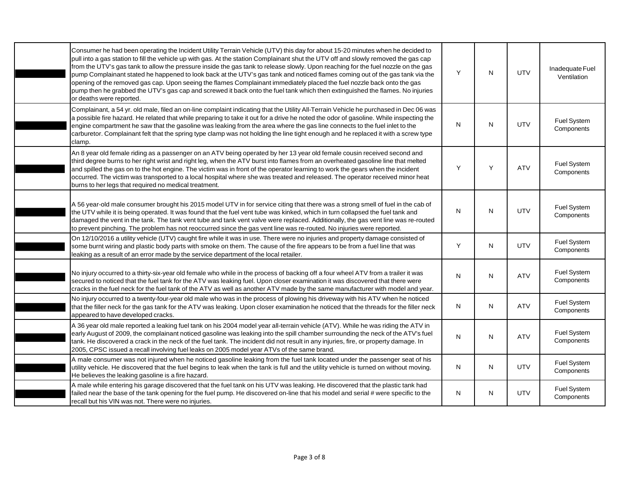| Consumer he had been operating the Incident Utility Terrain Vehicle (UTV) this day for about 15-20 minutes when he decided to<br>pull into a gas station to fill the vehicle up with gas. At the station Complainant shut the UTV off and slowly removed the gas cap<br>from the UTV's gas tank to allow the pressure inside the gas tank to release slowly. Upon reaching for the fuel nozzle on the gas<br>pump Complainant stated he happened to look back at the UTV's gas tank and noticed flames coming out of the gas tank via the<br>opening of the removed gas cap. Upon seeing the flames Complainant immediately placed the fuel nozzle back onto the gas<br>pump then he grabbed the UTV's gas cap and screwed it back onto the fuel tank which then extinguished the flames. No injuries<br>or deaths were reported. | Y         | N  | <b>UTV</b> | Inadequate Fuel<br>Ventilation |
|-----------------------------------------------------------------------------------------------------------------------------------------------------------------------------------------------------------------------------------------------------------------------------------------------------------------------------------------------------------------------------------------------------------------------------------------------------------------------------------------------------------------------------------------------------------------------------------------------------------------------------------------------------------------------------------------------------------------------------------------------------------------------------------------------------------------------------------|-----------|----|------------|--------------------------------|
| Complainant, a 54 yr. old male, filed an on-line complaint indicating that the Utility All-Terrain Vehicle he purchased in Dec 06 was<br>a possible fire hazard. He related that while preparing to take it out for a drive he noted the odor of gasoline. While inspecting the<br>engine compartment he saw that the gasoline was leaking from the area where the gas line connects to the fuel inlet to the<br>carburetor. Complainant felt that the spring type clamp was not holding the line tight enough and he replaced it with a screw type<br>clamp.                                                                                                                                                                                                                                                                     | ${\sf N}$ | N  | UTV        | Fuel System<br>Components      |
| An 8 year old female riding as a passenger on an ATV being operated by her 13 year old female cousin received second and<br>third degree burns to her right wrist and right leg, when the ATV burst into flames from an overheated gasoline line that melted<br>and spilled the gas on to the hot engine. The victim was in front of the operator learning to work the gears when the incident<br>occurred. The victim was transported to a local hospital where she was treated and released. The operator received minor heat<br>burns to her legs that required no medical treatment.                                                                                                                                                                                                                                          | Y         | Y  | <b>ATV</b> | Fuel System<br>Components      |
| A 56 year-old male consumer brought his 2015 model UTV in for service citing that there was a strong smell of fuel in the cab of<br>the UTV while it is being operated. It was found that the fuel vent tube was kinked, which in turn collapsed the fuel tank and<br>damaged the vent in the tank. The tank vent tube and tank vent valve were replaced. Additionally, the gas vent line was re-routed<br>to prevent pinching. The problem has not reoccurred since the gas vent line was re-routed. No injuries were reported.                                                                                                                                                                                                                                                                                                  | N         | N  | UTV        | Fuel System<br>Components      |
| On 12/10/2016 a utility vehicle (UTV) caught fire while it was in use. There were no injuries and property damage consisted of<br>some burnt wiring and plastic body parts with smoke on them. The cause of the fire appears to be from a fuel line that was<br>leaking as a result of an error made by the service department of the local retailer.                                                                                                                                                                                                                                                                                                                                                                                                                                                                             | Y         | N. | <b>UTV</b> | Fuel System<br>Components      |
| No injury occurred to a thirty-six-year old female who while in the process of backing off a four wheel ATV from a trailer it was<br>secured to noticed that the fuel tank for the ATV was leaking fuel. Upon closer examination it was discovered that there were<br>cracks in the fuel neck for the fuel tank of the ATV as well as another ATV made by the same manufacturer with model and year.                                                                                                                                                                                                                                                                                                                                                                                                                              | N         | N  | <b>ATV</b> | Fuel System<br>Components      |
| No injury occurred to a twenty-four-year old male who was in the process of plowing his driveway with his ATV when he noticed<br>that the filler neck for the gas tank for the ATV was leaking. Upon closer examination he noticed that the threads for the filler neck<br>appeared to have developed cracks.                                                                                                                                                                                                                                                                                                                                                                                                                                                                                                                     | N         | N  | <b>ATV</b> | Fuel System<br>Components      |
| A 36 year old male reported a leaking fuel tank on his 2004 model year all-terrain vehicle (ATV). While he was riding the ATV in<br>early August of 2009, the complainant noticed gasoline was leaking into the spill chamber surrounding the neck of the ATV's fuel<br>tank. He discovered a crack in the neck of the fuel tank. The incident did not result in any injuries, fire, or property damage. In<br>2005, CPSC issued a recall involving fuel leaks on 2005 model year ATVs of the same brand.                                                                                                                                                                                                                                                                                                                         | N         | N  | <b>ATV</b> | Fuel System<br>Components      |
| A male consumer was not injured when he noticed gasoline leaking from the fuel tank located under the passenger seat of his<br>utility vehicle. He discovered that the fuel begins to leak when the tank is full and the utility vehicle is turned on without moving.<br>He believes the leaking gasoline is a fire hazard.                                                                                                                                                                                                                                                                                                                                                                                                                                                                                                       | N         | N  | UTV        | Fuel System<br>Components      |
| A male while entering his garage discovered that the fuel tank on his UTV was leaking. He discovered that the plastic tank had<br>failed near the base of the tank opening for the fuel pump. He discovered on-line that his model and serial # were specific to the<br>recall but his VIN was not. There were no injuries.                                                                                                                                                                                                                                                                                                                                                                                                                                                                                                       | N         | N  | <b>UTV</b> | Fuel System<br>Components      |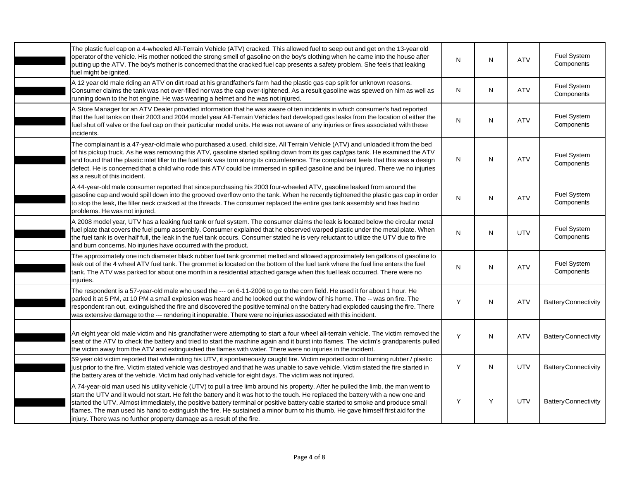|            | The plastic fuel cap on a 4-wheeled All-Terrain Vehicle (ATV) cracked. This allowed fuel to seep out and get on the 13-year old<br>operator of the vehicle. His mother noticed the strong smell of gasoline on the boy's clothing when he came into the house after<br>putting up the ATV. The boy's mother is concerned that the cracked fuel cap presents a safety problem. She feels that leaking<br>fuel might be ignited.                                                                                                                                                                                          | N         | N | <b>ATV</b> | Fuel System<br>Components   |
|------------|-------------------------------------------------------------------------------------------------------------------------------------------------------------------------------------------------------------------------------------------------------------------------------------------------------------------------------------------------------------------------------------------------------------------------------------------------------------------------------------------------------------------------------------------------------------------------------------------------------------------------|-----------|---|------------|-----------------------------|
|            | A 12 year old male riding an ATV on dirt road at his grandfather's farm had the plastic gas cap split for unknown reasons.<br>Consumer claims the tank was not over-filled nor was the cap over-tightened. As a result gasoline was spewed on him as well as<br>running down to the hot engine. He was wearing a helmet and he was not injured.                                                                                                                                                                                                                                                                         | N         | N | <b>ATV</b> | Fuel System<br>Components   |
| incidents. | A Store Manager for an ATV Dealer provided information that he was aware of ten incidents in which consumer's had reported<br>that the fuel tanks on their 2003 and 2004 model year All-Terrain Vehicles had developed gas leaks from the location of either the<br>fuel shut off valve or the fuel cap on their particular model units. He was not aware of any injuries or fires associated with these                                                                                                                                                                                                                | N         | N | <b>ATV</b> | Fuel System<br>Components   |
|            | The complainant is a 47-year-old male who purchased a used, child size, All Terrain Vehicle (ATV) and unloaded it from the bed<br>of his pickup truck. As he was removing this ATV, gasoline started spilling down from its gas cap/gas tank. He examined the ATV<br>and found that the plastic inlet filler to the fuel tank was torn along its circumference. The complainant feels that this was a design<br>defect. He is concerned that a child who rode this ATV could be immersed in spilled gasoline and be injured. There we no injuries<br>as a result of this incident.                                      | ${\sf N}$ | N | <b>ATV</b> | Fuel System<br>Components   |
|            | A 44-year-old male consumer reported that since purchasing his 2003 four-wheeled ATV, gasoline leaked from around the<br>gasoline cap and would spill down into the grooved overflow onto the tank. When he recently tightened the plastic gas cap in order<br>to stop the leak, the filler neck cracked at the threads. The consumer replaced the entire gas tank assembly and has had no<br>problems. He was not injured.                                                                                                                                                                                             | N         | N | <b>ATV</b> | Fuel System<br>Components   |
|            | A 2008 model year, UTV has a leaking fuel tank or fuel system. The consumer claims the leak is located below the circular metal<br>fuel plate that covers the fuel pump assembly. Consumer explained that he observed warped plastic under the metal plate. When<br>the fuel tank is over half full, the leak in the fuel tank occurs. Consumer stated he is very reluctant to utilize the UTV due to fire<br>and burn concerns. No injuries have occurred with the product.                                                                                                                                            | N         | N | <b>UTV</b> | Fuel System<br>Components   |
| injuries.  | The approximately one inch diameter black rubber fuel tank grommet melted and allowed approximately ten gallons of gasoline to<br>leak out of the 4 wheel ATV fuel tank. The grommet is located on the bottom of the fuel tank where the fuel line enters the fuel<br>tank. The ATV was parked for about one month in a residential attached garage when this fuel leak occurred. There were no                                                                                                                                                                                                                         | N         | N | <b>ATV</b> | Fuel System<br>Components   |
|            | The respondent is a 57-year-old male who used the --- on 6-11-2006 to go to the corn field. He used it for about 1 hour. He<br>parked it at 5 PM, at 10 PM a small explosion was heard and he looked out the window of his home. The -- was on fire. The<br>respondent ran out, extinguished the fire and discovered the positive terminal on the battery had exploded causing the fire. There<br>was extensive damage to the --- rendering it inoperable. There were no injuries associated with this incident.                                                                                                        | Y         | N | <b>ATV</b> | <b>Battery Connectivity</b> |
|            | An eight year old male victim and his grandfather were attempting to start a four wheel all-terrain vehicle. The victim removed the<br>seat of the ATV to check the battery and tried to start the machine again and it burst into flames. The victim's grandparents pulled<br>the victim away from the ATV and extinguished the flames with water. There were no injuries in the incident.                                                                                                                                                                                                                             | Y         | N | <b>ATV</b> | <b>Battery Connectivity</b> |
|            | 59 year old victim reported that while riding his UTV, it spontaneously caught fire. Victim reported odor of burning rubber / plastic<br>just prior to the fire. Victim stated vehicle was destroyed and that he was unable to save vehicle. Victim stated the fire started in<br>the battery area of the vehicle. Victim had only had vehicle for eight days. The victim was not injured.                                                                                                                                                                                                                              | Y         | N | <b>UTV</b> | <b>Battery Connectivity</b> |
|            | A 74-year-old man used his utility vehicle (UTV) to pull a tree limb around his property. After he pulled the limb, the man went to<br>start the UTV and it would not start. He felt the battery and it was hot to the touch. He replaced the battery with a new one and<br>started the UTV. Almost immediately, the positive battery terminal or positive battery cable started to smoke and produce small<br>flames. The man used his hand to extinguish the fire. He sustained a minor burn to his thumb. He gave himself first aid for the<br>injury. There was no further property damage as a result of the fire. | Y         | Y | UTV        | <b>Battery Connectivity</b> |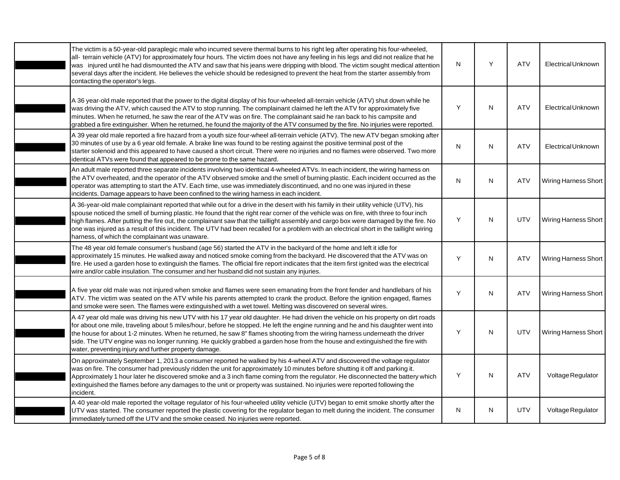| The victim is a 50-year-old paraplegic male who incurred severe thermal burns to his right leg after operating his four-wheeled,<br>all- terrain vehicle (ATV) for approximately four hours. The victim does not have any feeling in his legs and did not realize that he<br>was injured until he had dismounted the ATV and saw that his jeans were dripping with blood. The victim sought medical attention<br>several days after the incident. He believes the vehicle should be redesigned to prevent the heat from the starter assembly from<br>contacting the operator's legs.                            | N            | Y | <b>ATV</b> | <b>Electrical Unknown</b> |
|-----------------------------------------------------------------------------------------------------------------------------------------------------------------------------------------------------------------------------------------------------------------------------------------------------------------------------------------------------------------------------------------------------------------------------------------------------------------------------------------------------------------------------------------------------------------------------------------------------------------|--------------|---|------------|---------------------------|
| A 36 year-old male reported that the power to the digital display of his four-wheeled all-terrain vehicle (ATV) shut down while he<br>was driving the ATV, which caused the ATV to stop running. The complainant claimed he left the ATV for approximately five<br>minutes. When he returned, he saw the rear of the ATV was on fire. The complainant said he ran back to his campsite and<br>grabbed a fire extinguisher. When he returned, he found the majority of the ATV consumed by the fire. No injuries were reported.                                                                                  | Y            | N | <b>ATV</b> | <b>Electrical Unknown</b> |
| A 39 year old male reported a fire hazard from a youth size four-wheel all-terrain vehicle (ATV). The new ATV began smoking after<br>30 minutes of use by a 6 year old female. A brake line was found to be resting against the positive terminal post of the<br>starter solenoid and this appeared to have caused a short circuit. There were no injuries and no flames were observed. Two more<br>identical ATVs were found that appeared to be prone to the same hazard.                                                                                                                                     | $\mathsf{N}$ | N | <b>ATV</b> | Electrical Unknown        |
| An adult male reported three separate incidents involving two identical 4-wheeled ATVs. In each incident, the wiring harness on<br>the ATV overheated, and the operator of the ATV observed smoke and the smell of burning plastic. Each incident occurred as the<br>operator was attempting to start the ATV. Each time, use was immediately discontinued, and no one was injured in these<br>incidents. Damage appears to have been confined to the wiring harness in each incident.                                                                                                                          | N            | N | <b>ATV</b> | Wiring Harness Short      |
| A 36-year-old male complainant reported that while out for a drive in the desert with his family in their utility vehicle (UTV), his<br>spouse noticed the smell of burning plastic. He found that the right rear corner of the vehicle was on fire, with three to four inch<br>high flames. After putting the fire out, the complainant saw that the taillight assembly and cargo box were damaged by the fire. No<br>one was injured as a result of this incident. The UTV had been recalled for a problem with an electrical short in the taillight wiring<br>harness, of which the complainant was unaware. | Y            | N | UTV        | Wiring Harness Short      |
| The 48 year old female consumer's husband (age 56) started the ATV in the backyard of the home and left it idle for<br>approximately 15 minutes. He walked away and noticed smoke coming from the backyard. He discovered that the ATV was on<br>fire. He used a garden hose to extinguish the flames. The official fire report indicates that the item first ignited was the electrical<br>wire and/or cable insulation. The consumer and her husband did not sustain any injuries.                                                                                                                            | Y            | N | <b>ATV</b> | Wiring Harness Short      |
| A five year old male was not injured when smoke and flames were seen emanating from the front fender and handlebars of his<br>ATV. The victim was seated on the ATV while his parents attempted to crank the product. Before the ignition engaged, flames<br>and smoke were seen. The flames were extinguished with a wet towel. Melting was discovered on several wires.                                                                                                                                                                                                                                       | Y            | N | <b>ATV</b> | Wiring Harness Short      |
| A 47 year old male was driving his new UTV with his 17 year old daughter. He had driven the vehicle on his property on dirt roads<br>for about one mile, traveling about 5 miles/hour, before he stopped. He left the engine running and he and his daughter went into<br>the house for about 1-2 minutes. When he returned, he saw 8" flames shooting from the wiring harness underneath the driver<br>side. The UTV engine was no longer running. He quickly grabbed a garden hose from the house and extinguished the fire with<br>water, preventing injury and further property damage.                     | Y            | N | <b>UTV</b> | Wiring Harness Short      |
| On approximately September 1, 2013 a consumer reported he walked by his 4-wheel ATV and discovered the voltage regulator<br>was on fire. The consumer had previously ridden the unit for approximately 10 minutes before shutting it off and parking it.<br>Approximately 1 hour later he discovered smoke and a 3 inch flame coming from the regulator. He disconnected the battery which<br>extinguished the flames before any damages to the unit or property was sustained. No injuries were reported following the<br>incident.                                                                            | Y            | N | <b>ATV</b> | Voltage Regulator         |
| A 40 year-old male reported the voltage regulator of his four-wheeled utility vehicle (UTV) began to emit smoke shortly after the<br>UTV was started. The consumer reported the plastic covering for the regulator began to melt during the incident. The consumer<br>immediately turned off the UTV and the smoke ceased. No injuries were reported.                                                                                                                                                                                                                                                           | N            | Ν | UTV        | Voltage Regulator         |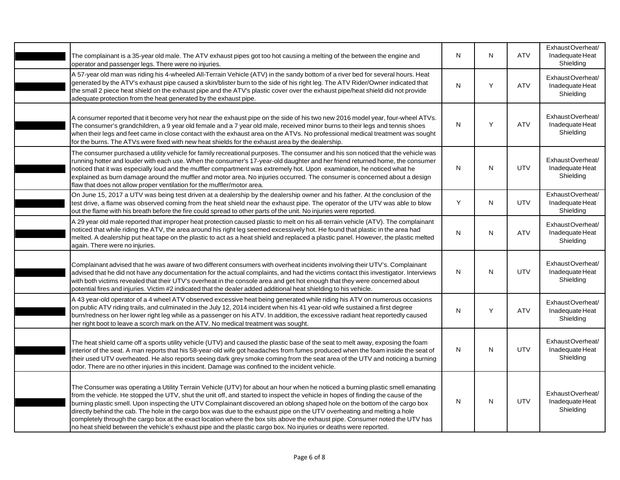| The complainant is a 35-year old male. The ATV exhaust pipes got too hot causing a melting of the between the engine and<br>operator and passenger legs. There were no injuries.                                                                                                                                                                                                                                                                                                                                                                                                                                                                                                                                                                                                  | N         | N | <b>ATV</b> | ExhaustOverheat/<br>Inadequate Heat<br>Shielding |
|-----------------------------------------------------------------------------------------------------------------------------------------------------------------------------------------------------------------------------------------------------------------------------------------------------------------------------------------------------------------------------------------------------------------------------------------------------------------------------------------------------------------------------------------------------------------------------------------------------------------------------------------------------------------------------------------------------------------------------------------------------------------------------------|-----------|---|------------|--------------------------------------------------|
| A 57-year old man was riding his 4-wheeled All-Terrain Vehicle (ATV) in the sandy bottom of a river bed for several hours. Heat<br>generated by the ATV's exhaust pipe caused a skin/blister burn to the side of his right leg. The ATV Rider/Owner indicated that<br>the small 2 piece heat shield on the exhaust pipe and the ATV's plastic cover over the exhaust pipe/heat shield did not provide<br>adequate protection from the heat generated by the exhaust pipe.                                                                                                                                                                                                                                                                                                         | ${\sf N}$ | Y | <b>ATV</b> | ExhaustOverheat/<br>Inadequate Heat<br>Shielding |
| A consumer reported that it become very hot near the exhaust pipe on the side of his two new 2016 model year, four-wheel ATVs.<br>The consumer's grandchildren, a 9 year old female and a 7 year old male, received minor burns to their legs and tennis shoes<br>when their legs and feet came in close contact with the exhaust area on the ATVs. No professional medical treatment was sought<br>for the burns. The ATVs were fixed with new heat shields for the exhaust area by the dealership.                                                                                                                                                                                                                                                                              | N         | Y | <b>ATV</b> | ExhaustOverheat/<br>Inadequate Heat<br>Shielding |
| The consumer purchased a utility vehicle for family recreational purposes. The consumer and his son noticed that the vehicle was<br>running hotter and louder with each use. When the consumer's 17-year-old daughter and her friend returned home, the consumer<br>noticed that it was especially loud and the muffler compartment was extremely hot. Upon examination, he noticed what he<br>explained as burn damage around the muffler and motor area. No injuries occurred. The consumer is concerned about a design<br>flaw that does not allow proper ventilation for the muffler/motor area.                                                                                                                                                                              | ${\sf N}$ | N | <b>UTV</b> | ExhaustOverheat/<br>Inadequate Heat<br>Shielding |
| On June 15, 2017 a UTV was being test driven at a dealership by the dealership owner and his father. At the conclusion of the<br>test drive, a flame was observed coming from the heat shield near the exhaust pipe. The operator of the UTV was able to blow<br>out the flame with his breath before the fire could spread to other parts of the unit. No injuries were reported.                                                                                                                                                                                                                                                                                                                                                                                                | Y         | N | <b>UTV</b> | ExhaustOverheat/<br>Inadequate Heat<br>Shielding |
| A 29 year old male reported that improper heat protection caused plastic to melt on his all-terrain vehicle (ATV). The complainant<br>noticed that while riding the ATV, the area around his right leg seemed excessively hot. He found that plastic in the area had<br>melted. A dealership put heat tape on the plastic to act as a heat shield and replaced a plastic panel. However, the plastic melted<br>again. There were no injuries.                                                                                                                                                                                                                                                                                                                                     | ${\sf N}$ | N | <b>ATV</b> | ExhaustOverheat/<br>Inadequate Heat<br>Shielding |
| Complainant advised that he was aware of two different consumers with overheat incidents involving their UTV's. Complainant<br>advised that he did not have any documentation for the actual complaints, and had the victims contact this investigator. Interviews<br>with both victims revealed that their UTV's overheat in the console area and get hot enough that they were concerned about<br>potential fires and injuries. Victim #2 indicated that the dealer added additional heat shielding to his vehicle.                                                                                                                                                                                                                                                             | N         | N | <b>UTV</b> | ExhaustOverheat/<br>Inadequate Heat<br>Shielding |
| A 43 year-old operator of a 4 wheel ATV observed excessive heat being generated while riding his ATV on numerous occasions<br>on public ATV riding trails, and culminated in the July 12, 2014 incident when his 41 year-old wife sustained a first degree<br>burn/redness on her lower right leg while as a passenger on his ATV. In addition, the excessive radiant heat reportedly caused<br>her right boot to leave a scorch mark on the ATV. No medical treatment was sought.                                                                                                                                                                                                                                                                                                | N         | Υ | <b>ATV</b> | ExhaustOverheat/<br>Inadequate Heat<br>Shielding |
| The heat shield came off a sports utility vehicle (UTV) and caused the plastic base of the seat to melt away, exposing the foam<br>interior of the seat. A man reports that his 58-year-old wife got headaches from fumes produced when the foam inside the seat of<br>their used UTV overheated. He also reports seeing dark grey smoke coming from the seat area of the UTV and noticing a burning<br>odor. There are no other injuries in this incident. Damage was confined to the incident vehicle.                                                                                                                                                                                                                                                                          | N         | N | UTV        | ExhaustOverheat/<br>Inadequate Heat<br>Shielding |
| The Consumer was operating a Utility Terrain Vehicle (UTV) for about an hour when he noticed a burning plastic smell emanating<br>from the vehicle. He stopped the UTV, shut the unit off, and started to inspect the vehicle in hopes of finding the cause of the<br>burning plastic smell. Upon inspecting the UTV Complainant discovered an oblong shaped hole on the bottom of the cargo box<br>directly behind the cab. The hole in the cargo box was due to the exhaust pipe on the UTV overheating and melting a hole<br>completely through the cargo box at the exact location where the box sits above the exhaust pipe. Consumer noted the UTV has<br>no heat shield between the vehicle's exhaust pipe and the plastic cargo box. No injuries or deaths were reported. | N         | N | UTV        | ExhaustOverheat/<br>Inadequate Heat<br>Shielding |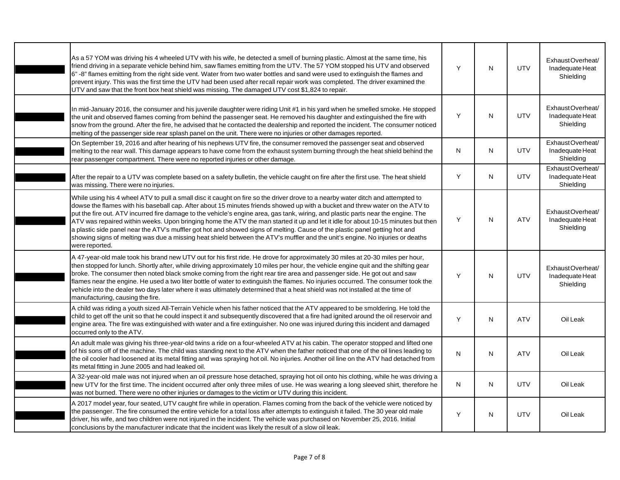| As a 57 YOM was driving his 4 wheeled UTV with his wife, he detected a smell of burning plastic. Almost at the same time, his<br>friend driving in a separate vehicle behind him, saw flames emitting from the UTV. The 57 YOM stopped his UTV and observed<br>6" -8" flames emitting from the right side vent. Water from two water bottles and sand were used to extinguish the flames and<br>prevent injury. This was the first time the UTV had been used after recall repair work was completed. The driver examined the<br>UTV and saw that the front box heat shield was missing. The damaged UTV cost \$1,824 to repair.                                                                                                                                                                                           | Y            | N | <b>UTV</b> | ExhaustOverheat/<br>Inadequate Heat<br>Shielding |
|----------------------------------------------------------------------------------------------------------------------------------------------------------------------------------------------------------------------------------------------------------------------------------------------------------------------------------------------------------------------------------------------------------------------------------------------------------------------------------------------------------------------------------------------------------------------------------------------------------------------------------------------------------------------------------------------------------------------------------------------------------------------------------------------------------------------------|--------------|---|------------|--------------------------------------------------|
| In mid-January 2016, the consumer and his juvenile daughter were riding Unit #1 in his yard when he smelled smoke. He stopped<br>the unit and observed flames coming from behind the passenger seat. He removed his daughter and extinguished the fire with<br>snow from the ground. After the fire, he advised that he contacted the dealership and reported the incident. The consumer noticed<br>melting of the passenger side rear splash panel on the unit. There were no injuries or other damages reported.                                                                                                                                                                                                                                                                                                         | Y            | N | <b>UTV</b> | ExhaustOverheat/<br>Inadequate Heat<br>Shielding |
| On September 19, 2016 and after hearing of his nephews UTV fire, the consumer removed the passenger seat and observed<br>melting to the rear wall. This damage appears to have come from the exhaust system burning through the heat shield behind the<br>rear passenger compartment. There were no reported injuries or other damage.                                                                                                                                                                                                                                                                                                                                                                                                                                                                                     | N            | N | <b>UTV</b> | ExhaustOverheat/<br>Inadequate Heat<br>Shielding |
| After the repair to a UTV was complete based on a safety bulletin, the vehicle caught on fire after the first use. The heat shield<br>was missing. There were no injuries.                                                                                                                                                                                                                                                                                                                                                                                                                                                                                                                                                                                                                                                 | Y            | N | <b>UTV</b> | ExhaustOverheat/<br>Inadequate Heat<br>Shielding |
| While using his 4 wheel ATV to pull a small disc it caught on fire so the driver drove to a nearby water ditch and attempted to<br>dowse the flames with his baseball cap. After about 15 minutes friends showed up with a bucket and threw water on the ATV to<br>put the fire out. ATV incurred fire damage to the vehicle's engine area, gas tank, wiring, and plastic parts near the engine. The<br>ATV was repaired within weeks. Upon bringing home the ATV the man started it up and let it idle for about 10-15 minutes but then<br>a plastic side panel near the ATV's muffler got hot and showed signs of melting. Cause of the plastic panel getting hot and<br>showing signs of melting was due a missing heat shield between the ATV's muffler and the unit's engine. No injuries or deaths<br>were reported. | Y            | N | <b>ATV</b> | ExhaustOverheat/<br>Inadequate Heat<br>Shielding |
| A 47-year-old male took his brand new UTV out for his first ride. He drove for approximately 30 miles at 20-30 miles per hour,<br>then stopped for lunch. Shortly after, while driving approximately 10 miles per hour, the vehicle engine quit and the shifting gear<br>broke. The consumer then noted black smoke coming from the right rear tire area and passenger side. He got out and saw<br>flames near the engine. He used a two liter bottle of water to extinguish the flames. No injuries occurred. The consumer took the<br>vehicle into the dealer two days later where it was ultimately determined that a heat shield was not installed at the time of<br>manufacturing, causing the fire.                                                                                                                  | Y            | N | <b>UTV</b> | ExhaustOverheat/<br>Inadequate Heat<br>Shielding |
| A child was riding a youth sized All-Terrain Vehicle when his father noticed that the ATV appeared to be smoldering. He told the<br>child to get off the unit so that he could inspect it and subsequently discovered that a fire had ignited around the oil reservoir and<br>engine area. The fire was extinguished with water and a fire extinguisher. No one was injured during this incident and damaged<br>occurred only to the ATV.                                                                                                                                                                                                                                                                                                                                                                                  | Y            | N | <b>ATV</b> | Oil Leak                                         |
| An adult male was giving his three-year-old twins a ride on a four-wheeled ATV at his cabin. The operator stopped and lifted one<br>of his sons off of the machine. The child was standing next to the ATV when the father noticed that one of the oil lines leading to<br>the oil cooler had loosened at its metal fitting and was spraying hot oil. No injuries. Another oil line on the ATV had detached from<br>its metal fitting in June 2005 and had leaked oil.                                                                                                                                                                                                                                                                                                                                                     | $\mathsf{N}$ | N | <b>ATV</b> | Oil Leak                                         |
| A 32-year-old male was not injured when an oil pressure hose detached, spraying hot oil onto his clothing, while he was driving a<br>new UTV for the first time. The incident occurred after only three miles of use. He was wearing a long sleeved shirt, therefore he<br>was not burned. There were no other injuries or damages to the victim or UTV during this incident.                                                                                                                                                                                                                                                                                                                                                                                                                                              | N            | N | <b>UTV</b> | Oil Leak                                         |
| A 2017 model year, four seated, UTV caught fire while in operation. Flames coming from the back of the vehicle were noticed by<br>the passenger. The fire consumed the entire vehicle for a total loss after attempts to extinguish it failed. The 30 year old male<br>driver, his wife, and two children were not injured in the incident. The vehicle was purchased on November 25, 2016. Initial<br>conclusions by the manufacturer indicate that the incident was likely the result of a slow oil leak.                                                                                                                                                                                                                                                                                                                | Υ            | N | UTV        | Oil Leak                                         |